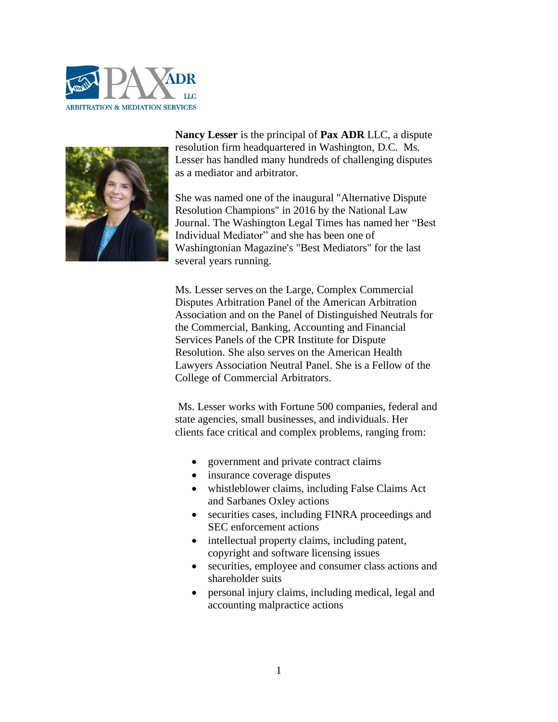



**[Nancy Lesser](http://paxadr.com/bio.html)** is the principal of **[Pax ADR](http://paxadr.com/about.html#Contact)** LLC, a dispute resolution firm headquartered in Washington, D.C. Ms. Lesser has handled many hundreds of challenging disputes as a mediator and arbitrator.

She was named one of the inaugural "Alternative Dispute Resolution Champions" in 2016 by the National Law Journal. The Washington Legal Times has named her "Best Individual Mediator" and she has been one of Washingtonian Magazine's "Best Mediators" for the last several years running.

Ms. Lesser serves on the Large, Complex Commercial Disputes Arbitration Panel of the [American Arbitration](http://www.adr.org/)  [Association](http://www.adr.org/) and on the Panel of Distinguished Neutrals for the Commercial, Banking, Accounting and Financial Services Panels of the [CPR Institute for Dispute](http://www.cpradr.org/)  [Resolution.](http://www.cpradr.org/) She also serves on the American Health Lawyers Association Neutral Panel. She is a Fellow of the College of Commercial Arbitrators.

Ms. Lesser works with Fortune 500 companies, federal and state agencies, small businesses, and individuals. Her clients face critical and complex problems, ranging from:

- government and private contract claims
- insurance coverage disputes
- whistleblower claims, including False Claims Act and Sarbanes Oxley actions
- securities cases, including FINRA proceedings and SEC enforcement actions
- intellectual property claims, including patent, copyright and software licensing issues
- securities, employee and consumer class actions and shareholder suits
- personal injury claims, including medical, legal and accounting malpractice actions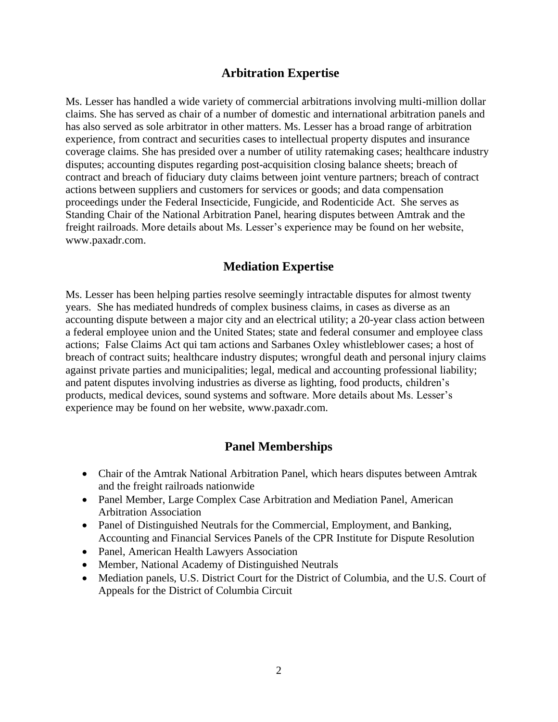### **Arbitration Expertise**

Ms. Lesser has handled a wide variety of commercial arbitrations involving multi-million dollar claims. She has served as chair of a number of domestic and international arbitration panels and has also served as sole arbitrator in other matters. Ms. Lesser has a broad range of arbitration experience, from contract and securities cases to intellectual property disputes and insurance coverage claims. She has presided over a number of utility ratemaking cases; healthcare industry disputes; accounting disputes regarding post-acquisition closing balance sheets; breach of contract and breach of fiduciary duty claims between joint venture partners; breach of contract actions between suppliers and customers for services or goods; and data compensation proceedings under the Federal Insecticide, Fungicide, and Rodenticide Act. She serves as Standing Chair of the National Arbitration Panel, hearing disputes between Amtrak and the freight railroads. More details about Ms. Lesser's experience may be found on her website, www.paxadr.com.

## **Mediation Expertise**

Ms. Lesser has been helping parties resolve seemingly intractable disputes for almost twenty years. She has mediated hundreds of complex business claims, in cases as diverse as an accounting dispute between a major city and an electrical utility; a 20-year class action between a federal employee union and the United States; state and federal consumer and employee class actions; False Claims Act qui tam actions and Sarbanes Oxley whistleblower cases; a host of breach of contract suits; healthcare industry disputes; wrongful death and personal injury claims against private parties and municipalities; legal, medical and accounting professional liability; and patent disputes involving industries as diverse as lighting, food products, children's products, medical devices, sound systems and software. More details about Ms. Lesser's experience may be found on her website, www.paxadr.com.

### **Panel Memberships**

- Chair of the Amtrak National Arbitration Panel, which hears disputes between Amtrak and the freight railroads nationwide
- Panel Member, Large Complex Case Arbitration and Mediation Panel, American Arbitration Association
- Panel of Distinguished Neutrals for the Commercial, Employment, and Banking, Accounting and Financial Services Panels of the CPR Institute for Dispute Resolution
- Panel, American Health Lawyers Association
- Member, National Academy of Distinguished Neutrals
- Mediation panels, U.S. District Court for the District of Columbia, and the U.S. Court of Appeals for the District of Columbia Circuit